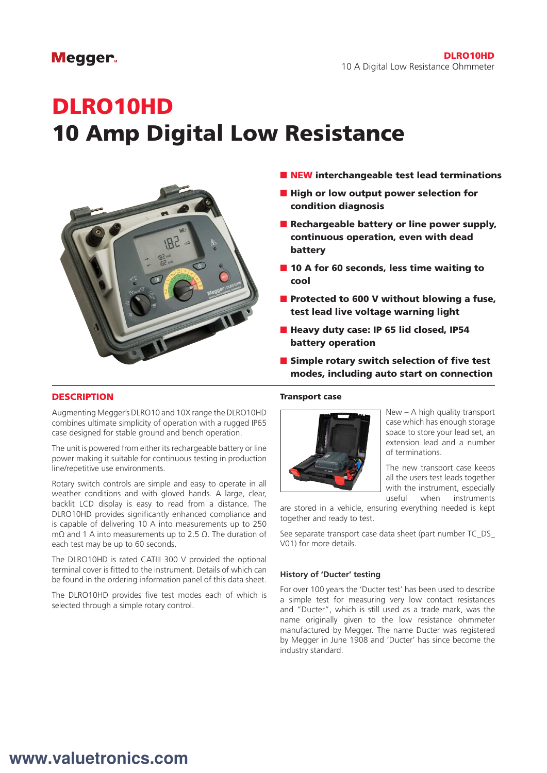### Megger.

# DLRO10HD 10 Amp Digital Low Resistance



- NEW interchangeable test lead terminations
- High or low output power selection for condition diagnosis
- Rechargeable battery or line power supply, continuous operation, even with dead battery
- 10 A for 60 seconds, less time waiting to cool
- Protected to 600 V without blowing a fuse, test lead live voltage warning light
- Heavy duty case: IP 65 lid closed, IP54 battery operation
- Simple rotary switch selection of five test modes, including auto start on connection

#### **DESCRIPTION**

Augmenting Megger's DLRO10 and 10X range the DLRO10HD combines ultimate simplicity of operation with a rugged IP65 case designed for stable ground and bench operation.

The unit is powered from either its rechargeable battery or line power making it suitable for continuous testing in production line/repetitive use environments.

Rotary switch controls are simple and easy to operate in all weather conditions and with gloved hands. A large, clear, backlit LCD display is easy to read from a distance. The DLRO10HD provides significantly enhanced compliance and is capable of delivering 10 A into measurements up to 250 mΩ and 1 A into measurements up to 2.5 Ω. The duration of each test may be up to 60 seconds.

The DLRO10HD is rated CATIII 300 V provided the optional terminal cover is fitted to the instrument. Details of which can be found in the ordering information panel of this data sheet.

The DLRO10HD provides five test modes each of which is selected through a simple rotary control.

#### Transport case



New – A high quality transport case which has enough storage space to store your lead set, an extension lead and a number of terminations.

The new transport case keeps all the users test leads together with the instrument, especially useful when instruments

are stored in a vehicle, ensuring everything needed is kept together and ready to test.

See separate transport case data sheet (part number TC\_DS\_ V01) for more details.

#### **History of 'Ducter' testing**

For over 100 years the 'Ducter test' has been used to describe a simple test for measuring very low contact resistances and "Ducter", which is still used as a trade mark, was the name originally given to the low resistance ohmmeter manufactured by Megger. The name Ducter was registered by Megger in June 1908 and 'Ducter' has since become the industry standard.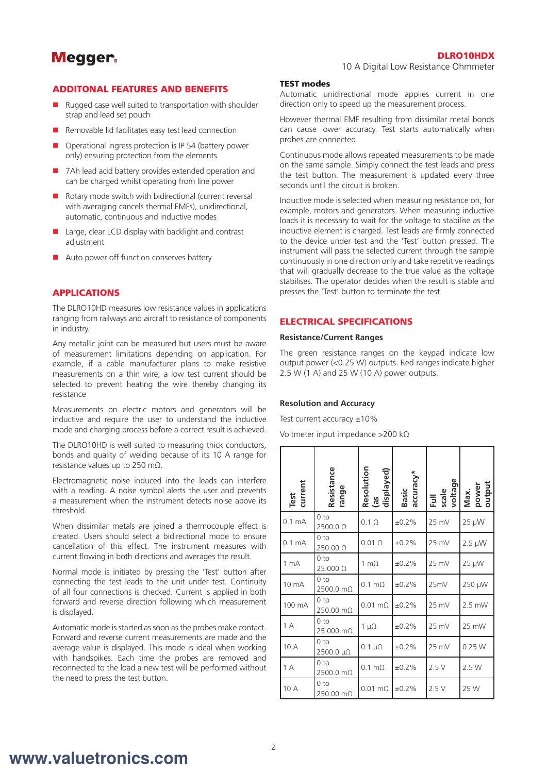## **Megger**

#### DLRO10HDX

10 A Digital Low Resistance Ohmmeter

#### ADDITONAL FEATURES AND BENEFITS

- Rugged case well suited to transportation with shoulder strap and lead set pouch
- $\blacksquare$  Removable lid facilitates easy test lead connection
- Operational ingress protection is IP 54 (battery power only) ensuring protection from the elements
- $\blacksquare$  7Ah lead acid battery provides extended operation and can be charged whilst operating from line power
- $\blacksquare$  Rotary mode switch with bidirectional (current reversal with averaging cancels thermal EMFs), unidirectional, automatic, continuous and inductive modes
- $\blacksquare$  Large, clear LCD display with backlight and contrast adjustment
- $\blacksquare$  Auto power off function conserves battery

#### APPLICATIONS

The DLRO10HD measures low resistance values in applications ranging from railways and aircraft to resistance of components in industry.

Any metallic joint can be measured but users must be aware of measurement limitations depending on application. For example, if a cable manufacturer plans to make resistive measurements on a thin wire, a low test current should be selected to prevent heating the wire thereby changing its resistance

Measurements on electric motors and generators will be inductive and require the user to understand the inductive mode and charging process before a correct result is achieved.

The DLRO10HD is well suited to measuring thick conductors, bonds and quality of welding because of its 10 A range for resistance values up to 250 mΩ.

Electromagnetic noise induced into the leads can interfere with a reading. A noise symbol alerts the user and prevents a measurement when the instrument detects noise above its threshold.

When dissimilar metals are joined a thermocouple effect is created. Users should select a bidirectional mode to ensure cancellation of this effect. The instrument measures with current flowing in both directions and averages the result.

Normal mode is initiated by pressing the 'Test' button after connecting the test leads to the unit under test. Continuity of all four connections is checked. Current is applied in both forward and reverse direction following which measurement is displayed.

Automatic mode is started as soon as the probes make contact. Forward and reverse current measurements are made and the average value is displayed. This mode is ideal when working with handspikes. Each time the probes are removed and reconnected to the load a new test will be performed without the need to press the test button.

#### TEST modes

Automatic unidirectional mode applies current in one direction only to speed up the measurement process.

However thermal EMF resulting from dissimilar metal bonds can cause lower accuracy. Test starts automatically when probes are connected.

Continuous mode allows repeated measurements to be made on the same sample. Simply connect the test leads and press the test button. The measurement is updated every three seconds until the circuit is broken.

Inductive mode is selected when measuring resistance on, for example, motors and generators. When measuring inductive loads it is necessary to wait for the voltage to stabilise as the inductive element is charged. Test leads are firmly connected to the device under test and the 'Test' button pressed. The instrument will pass the selected current through the sample continuously in one direction only and take repetitive readings that will gradually decrease to the true value as the voltage stabilises. The operator decides when the result is stable and presses the 'Test' button to terminate the test

#### ELECTRICAL SPECIFICATIONS

#### **Resistance/Current Ranges**

The green resistance ranges on the keypad indicate low output power (<0.25 W) outputs. Red ranges indicate higher 2.5 W (1 A) and 25 W (10 A) power outputs.

#### **Resolution and Accuracy**

Test current accuracy  $\pm 10\%$ 

Voltmeter input impedance >200 kΩ

| Test<br>current   | Resistance<br>range          | Resolution<br>(as<br>displayed) | accuracy*<br>Basic | Full<br>scale<br>voltage | power<br>output<br>Max. |
|-------------------|------------------------------|---------------------------------|--------------------|--------------------------|-------------------------|
| 0.1 <sub>mA</sub> | 0 <sub>to</sub><br>2500.0 Ω  | $0.1 \Omega$                    | ±0.2%              | 25 mV                    | 25 µW                   |
| $0.1 \text{ mA}$  | 0 <sub>to</sub><br>250.00 Ω  | $0.01 \Omega$                   | ±0.2%              | 25 mV                    | $2.5 \mu W$             |
| 1 <sub>mA</sub>   | 0 <sub>to</sub><br>25.000 Ω  | 1 m $\Omega$                    | ±0.2%              | 25 mV                    | 25 µW                   |
| 10 mA             | 0 <sub>to</sub><br>2500.0 mΩ | $0.1 \text{ m}\Omega$           | ±0.2%              | 25mV                     | 250 µW                  |
| 100 mA            | 0 <sub>to</sub><br>250.00 mO | $0.01 \text{ m}\Omega$          | ±0.2%              | 25 mV                    | $2.5$ mW                |
| 1A                | 0 <sub>to</sub><br>25.000 mΩ | 1 $\mu\Omega$                   | ±0.2%              | 25 mV                    | 25 mW                   |
| 10 A              | 0 <sub>to</sub><br>2500.0 μΩ | $0.1 \mu\Omega$                 | ±0.2%              | 25 mV                    | 0.25W                   |
| 1A                | 0 <sub>to</sub><br>2500.0 mΩ | $0.1 \text{ m}\Omega$           | ±0.2%              | 2.5V                     | 2.5 W                   |
| 10 A              | 0 <sub>to</sub><br>250.00 mΩ | $0.01 \text{ m}\Omega$          | ±0.2%              | 2.5V                     | 25 W                    |

# **www.valuetronics.com**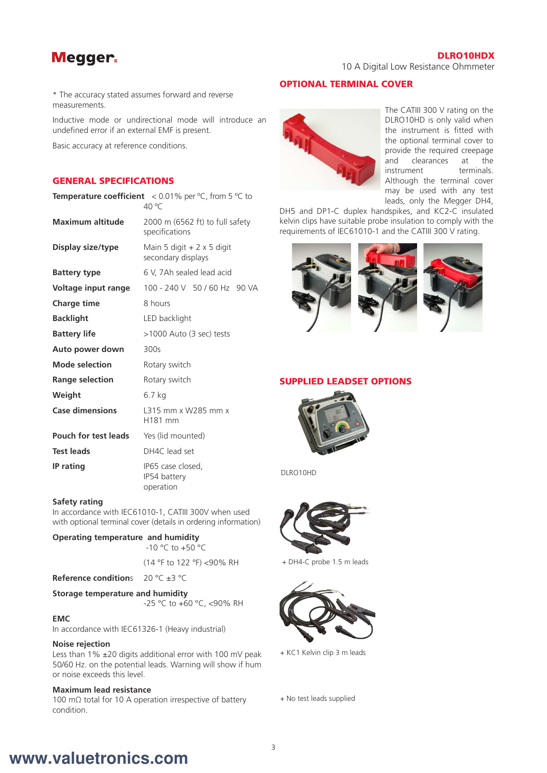## Megger.

#### DLRO10HDX

10 A Digital Low Resistance Ohmmeter

\* The accuracy stated assumes forward and reverse measurements.

Inductive mode or undirectional mode will introduce an undefined error if an external EMF is present.

Basic accuracy at reference conditions.

#### GENERAL SPECIFICATIONS

|                             | <b>Temperature coefficient</b> $\leq 0.01\%$ per °C, from 5 °C to<br>40 °C |  |  |
|-----------------------------|----------------------------------------------------------------------------|--|--|
| <b>Maximum altitude</b>     | 2000 m (6562 ft) to full safety<br>specifications                          |  |  |
| Display size/type           | Main 5 digit $+2 \times 5$ digit<br>secondary displays                     |  |  |
| <b>Battery type</b>         | 6 V, 7Ah sealed lead acid                                                  |  |  |
| Voltage input range         | 100 - 240 V 50 / 60 Hz 90 VA                                               |  |  |
| <b>Charge time</b>          | 8 hours                                                                    |  |  |
| <b>Backlight</b>            | LED backlight                                                              |  |  |
| <b>Battery life</b>         | >1000 Auto (3 sec) tests                                                   |  |  |
| Auto power down             | 300s                                                                       |  |  |
| <b>Mode selection</b>       | Rotary switch                                                              |  |  |
| <b>Range selection</b>      | Rotary switch                                                              |  |  |
| Weight                      | 6.7 kg                                                                     |  |  |
| <b>Case dimensions</b>      | 1315 mm x W285 mm x<br>H181 mm                                             |  |  |
| <b>Pouch for test leads</b> | Yes (lid mounted)                                                          |  |  |
| <b>Test leads</b>           | DH4C lead set                                                              |  |  |
| <b>IP</b> rating            | IP65 case closed,<br>IP54 battery<br>operation                             |  |  |

#### **Safety rating**

In accordance with IEC61010-1, CATIII 300V when used with optional terminal cover (details in ordering information)

#### **Operating temperature and humidity**

-10 °C to +50 °C

(14 °F to 122 °F) <90% RH

#### **Reference condition**s 20 °C ±3 °C

**Storage temperature and humidity**

-25 °C to +60 °C, <90% RH

#### **EMC**

In accordance with IEC61326-1 (Heavy industrial)

#### **Noise rejection**

Less than  $1\%$   $\pm 20$  digits additional error with 100 mV peak 50/60 Hz. on the potential leads. Warning will show if hum or noise exceeds this level.

#### **Maximum lead resistance**

100 mΩ total for 10 A operation irrespective of battery condition.

#### OPTIONAL TERMINAL COVER



The CATIII 300 V rating on the DLRO10HD is only valid when the instrument is fitted with the optional terminal cover to provide the required creepage and clearances at the instrument terminals. Although the terminal cover may be used with any test leads, only the Megger DH4,

DH5 and DP1-C duplex handspikes, and KC2-C insulated kelvin clips have suitable probe insulation to comply with the requirements of IEC61010-1 and the CATIII 300 V rating.



#### SUPPLIED LEADSET OPTIONS



DLRO10HD



+ DH4-C probe 1.5 m leads



+ KC1 Kelvin clip 3 m leads

+ No test leads supplied

# **www.valuetronics.com**